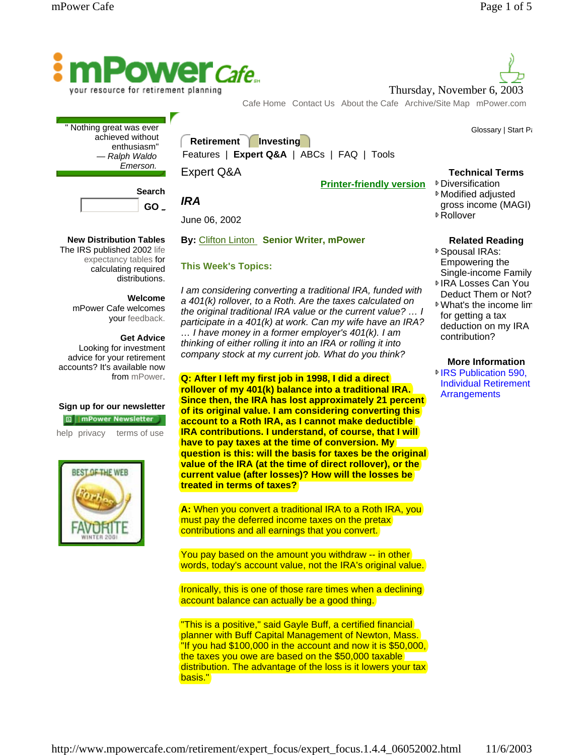

your resource for retirement planning

Cafe Home Contact Us About the Cafe Archive/Site Map mPower.com

**Retirement Investing**

Features | **Expert Q&A** | ABCs | FAQ | Tools

## Expert Q&A

June 06, 2002

**This Week's Topics:** 

*IRA* 

**Printer-friendly version**

| <b>Search</b> |
|---------------|
| GO.           |

Nothing great was ever achieved without enthusiasm" *— Ralph Waldo Emerson.*

## **New Distribution Tables**

The IRS published 2002 life expectancy tables for calculating required distributions.

## **Welcome**

mPower Cafe welcomes your feedback.

#### **Get Advice**

Looking for investment advice for your retirement accounts? It's available now from mPower.

## **Sign up for our newsletter**

**回** imPower Newsletter

help privacy terms of use



*I am considering converting a traditional IRA, funded with a 401(k) rollover, to a Roth. Are the taxes calculated on the original traditional IRA value or the current value? … I participate in a 401(k) at work. Can my wife have an IRA? … I have money in a former employer's 401(k). I am thinking of either rolling it into an IRA or rolling it into company stock at my current job. What do you think?*

**Q: After I left my first job in 1998, I did a direct rollover of my 401(k) balance into a traditional IRA. Since then, the IRA has lost approximately 21 percent of its original value. I am considering converting this account to a Roth IRA, as I cannot make deductible IRA contributions. I understand, of course, that I will have to pay taxes at the time of conversion. My question is this: will the basis for taxes be the original value of the IRA (at the time of direct rollover), or the current value (after losses)? How will the losses be treated in terms of taxes?**

**A:** When you convert a traditional IRA to a Roth IRA, you must pay the deferred income taxes on the pretax contributions and all earnings that you convert.

You pay based on the amount you withdraw -- in other words, today's account value, not the IRA's original value.

Ironically, this is one of those rare times when a declining account balance can actually be a good thing.

"This is a positive," said Gayle Buff, a certified financial planner with Buff Capital Management of Newton, Mass. "If you had \$100,000 in the account and now it is \$50,000, the taxes you owe are based on the \$50,000 taxable distribution. The advantage of the loss is it lowers your tax basis."



Glossary | Start Pa

## **Technical Terms**

**▶**Diversification Modified adjusted

- gross income (MAGI)
- Rollover

Thursday, November 6, 2003

**Related Reading**

- Spousal IRAs: Empowering the Single-income Family
- IRA Losses Can You Deduct Them or Not?
- What's the income lim for getting a tax deduction on my IRA contribution?

## **More Information <sup>■</sup>IRS Publication 590.** Individual Retirement **Arrangements**

**By:** Clifton Linton **Senior Writer, mPower**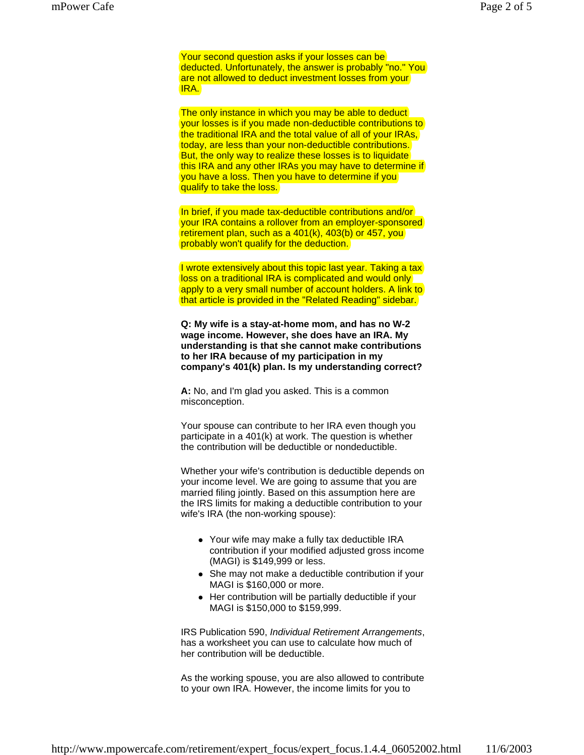Your second question asks if your losses can be deducted. Unfortunately, the answer is probably "no." You are not allowed to deduct investment losses from your IRA.

The only instance in which you may be able to deduct your losses is if you made non-deductible contributions to the traditional IRA and the total value of all of your IRAs, today, are less than your non-deductible contributions. But, the only way to realize these losses is to liquidate this IRA and any other IRAs you may have to determine if you have a loss. Then you have to determine if you qualify to take the loss.

In brief, if you made tax-deductible contributions and/or your IRA contains a rollover from an employer-sponsored retirement plan, such as a 401(k), 403(b) or 457, you probably won't qualify for the deduction.

I wrote extensively about this topic last year. Taking a tax loss on a traditional IRA is complicated and would only apply to a very small number of account holders. A link to that article is provided in the "Related Reading" sidebar.

**Q: My wife is a stay-at-home mom, and has no W-2 wage income. However, she does have an IRA. My understanding is that she cannot make contributions to her IRA because of my participation in my company's 401(k) plan. Is my understanding correct?**

**A:** No, and I'm glad you asked. This is a common misconception.

Your spouse can contribute to her IRA even though you participate in a 401(k) at work. The question is whether the contribution will be deductible or nondeductible.

Whether your wife's contribution is deductible depends on your income level. We are going to assume that you are married filing jointly. Based on this assumption here are the IRS limits for making a deductible contribution to your wife's IRA (the non-working spouse):

- Your wife may make a fully tax deductible IRA contribution if your modified adjusted gross income (MAGI) is \$149,999 or less.
- She may not make a deductible contribution if your MAGI is \$160,000 or more.
- Her contribution will be partially deductible if your MAGI is \$150,000 to \$159,999.

IRS Publication 590, *Individual Retirement Arrangements*, has a worksheet you can use to calculate how much of her contribution will be deductible.

As the working spouse, you are also allowed to contribute to your own IRA. However, the income limits for you to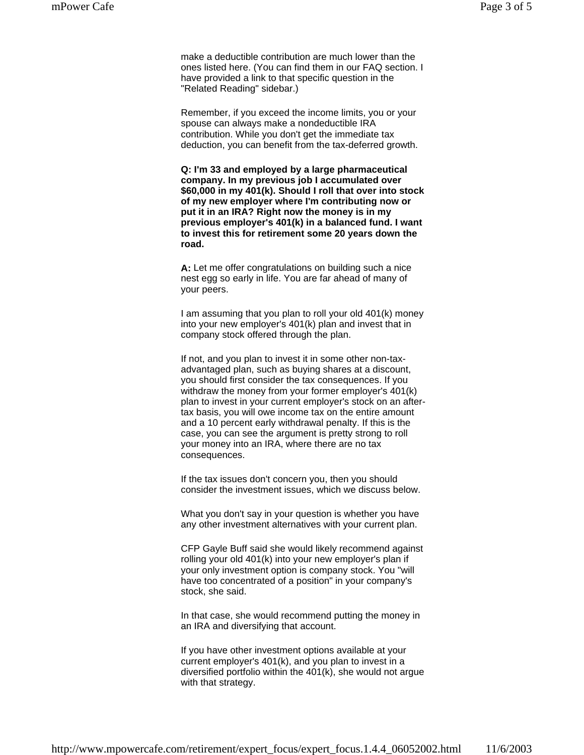make a deductible contribution are much lower than the ones listed here. (You can find them in our FAQ section. I have provided a link to that specific question in the "Related Reading" sidebar.)

Remember, if you exceed the income limits, you or your spouse can always make a nondeductible IRA contribution. While you don't get the immediate tax deduction, you can benefit from the tax-deferred growth.

**Q: I'm 33 and employed by a large pharmaceutical company. In my previous job I accumulated over \$60,000 in my 401(k). Should I roll that over into stock of my new employer where I'm contributing now or put it in an IRA? Right now the money is in my previous employer's 401(k) in a balanced fund. I want to invest this for retirement some 20 years down the road.**

**A:** Let me offer congratulations on building such a nice nest egg so early in life. You are far ahead of many of your peers.

I am assuming that you plan to roll your old 401(k) money into your new employer's 401(k) plan and invest that in company stock offered through the plan.

If not, and you plan to invest it in some other non-taxadvantaged plan, such as buying shares at a discount, you should first consider the tax consequences. If you withdraw the money from your former employer's 401(k) plan to invest in your current employer's stock on an aftertax basis, you will owe income tax on the entire amount and a 10 percent early withdrawal penalty. If this is the case, you can see the argument is pretty strong to roll your money into an IRA, where there are no tax consequences.

If the tax issues don't concern you, then you should consider the investment issues, which we discuss below.

What you don't say in your question is whether you have any other investment alternatives with your current plan.

CFP Gayle Buff said she would likely recommend against rolling your old 401(k) into your new employer's plan if your only investment option is company stock. You "will have too concentrated of a position" in your company's stock, she said.

In that case, she would recommend putting the money in an IRA and diversifying that account.

If you have other investment options available at your current employer's 401(k), and you plan to invest in a diversified portfolio within the 401(k), she would not argue with that strategy.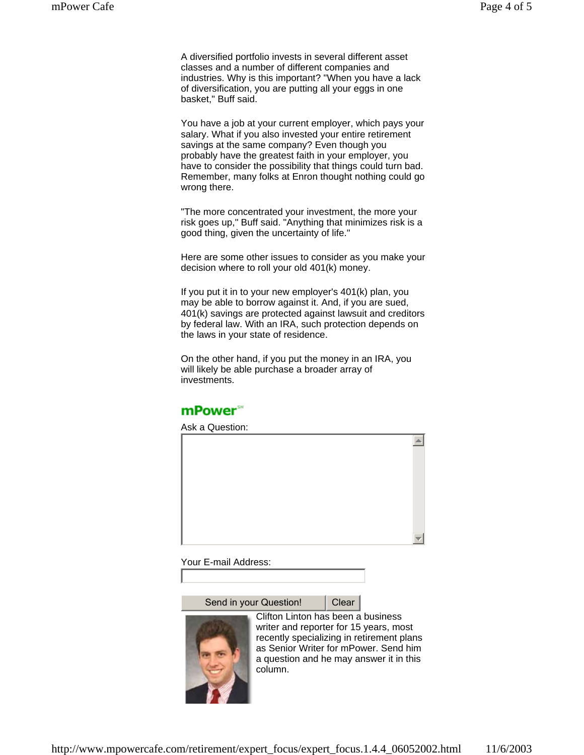A diversified portfolio invests in several different asset classes and a number of different companies and industries. Why is this important? "When you have a lack of diversification, you are putting all your eggs in one basket," Buff said.

You have a job at your current employer, which pays your salary. What if you also invested your entire retirement savings at the same company? Even though you probably have the greatest faith in your employer, you have to consider the possibility that things could turn bad. Remember, many folks at Enron thought nothing could go wrong there.

"The more concentrated your investment, the more your risk goes up," Buff said. "Anything that minimizes risk is a good thing, given the uncertainty of life."

Here are some other issues to consider as you make your decision where to roll your old 401(k) money.

If you put it in to your new employer's 401(k) plan, you may be able to borrow against it. And, if you are sued, 401(k) savings are protected against lawsuit and creditors by federal law. With an IRA, such protection depends on the laws in your state of residence.

On the other hand, if you put the money in an IRA, you will likely be able purchase a broader array of investments.

# mPower<sup>\*\*</sup>

Ask a Question:  $\blacktriangle$ 

Your E-mail Address:

Send in your Question! | Clear



Clifton Linton has been a business writer and reporter for 15 years, most recently specializing in retirement plans as Senior Writer for mPower. Send him a question and he may answer it in this column.